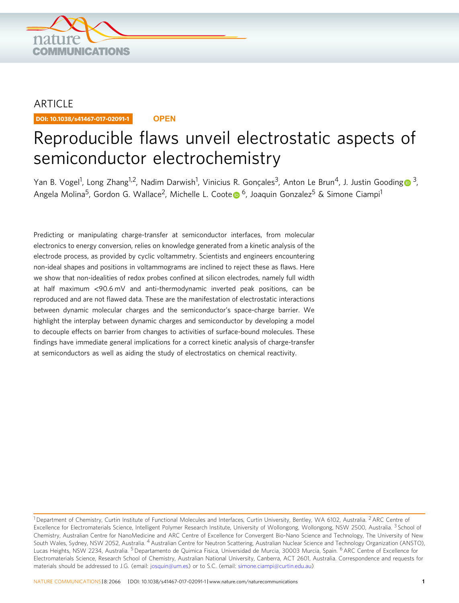

# ARTICLE

DOI: 10.1038/s41467-017-02091-1 **OPEN**

# Reproducible flaws unveil electrostatic aspects of semiconductor electrochemistry

Yan B. Vo[g](http://orcid.org/0000-0002-5398-0597)el<sup>1</sup>, Long Zhang<sup>1,2</sup>, Nadim Darwish<sup>1</sup>, Vinicius R. Gonçales<sup>[3](http://orcid.org/0000-0002-5398-0597)</sup>, Anton Le Brun<sup>4</sup>, J. Justin Gooding **o** <sup>3</sup>, Ang[e](http://orcid.org/0000-0003-0828-7053)la Molina<sup>5</sup>, Gordon G. Wallace<sup>2</sup>, Michelle L. Coote <sup>[6](http://orcid.org/0000-0003-0828-7053)</sup>, Joaquin Gonzalez<sup>5</sup> & Simone Ciampi<sup>1</sup>

Predicting or manipulating charge-transfer at semiconductor interfaces, from molecular electronics to energy conversion, relies on knowledge generated from a kinetic analysis of the electrode process, as provided by cyclic voltammetry. Scientists and engineers encountering non-ideal shapes and positions in voltammograms are inclined to reject these as flaws. Here we show that non-idealities of redox probes confined at silicon electrodes, namely full width at half maximum <90.6 mV and anti-thermodynamic inverted peak positions, can be reproduced and are not flawed data. These are the manifestation of electrostatic interactions between dynamic molecular charges and the semiconductor's space-charge barrier. We highlight the interplay between dynamic charges and semiconductor by developing a model to decouple effects on barrier from changes to activities of surface-bound molecules. These findings have immediate general implications for a correct kinetic analysis of charge-transfer at semiconductors as well as aiding the study of electrostatics on chemical reactivity.

<sup>&</sup>lt;sup>1</sup> Department of Chemistry, Curtin Institute of Functional Molecules and Interfaces, Curtin University, Bentley, WA 6102, Australia. <sup>2</sup> ARC Centre of Excellence for Electromaterials Science, Intelligent Polymer Research Institute, University of Wollongong, Wollongong, NSW 2500, Australia. <sup>3</sup> School of Chemistry, Australian Centre for NanoMedicine and ARC Centre of Excellence for Convergent Bio-Nano Science and Technology, The University of New South Wales, Sydney, NSW 2052, Australia. <sup>4</sup> Australian Centre for Neutron Scattering, Australian Nuclear Science and Technology Organization (ANSTO), Lucas Heights, NSW 2234, Australia. <sup>5</sup> Departamento de Quimica Fisica, Universidad de Murcia, 30003 Murcia, Spain. <sup>6</sup> ARC Centre of Excellence for Electromaterials Science, Research School of Chemistry, Australian National University, Canberra, ACT 2601, Australia. Correspondence and requests for materials should be addressed to J.G. (email: [josquin@um.es](mailto:josquin@um.es)) or to S.C. (email: [simone.ciampi@curtin.edu.au](mailto:simone.ciampi@curtin.edu.au))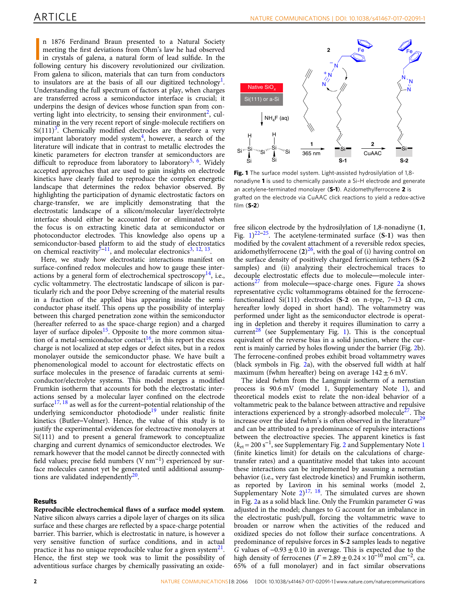<span id="page-1-0"></span>n 1876 Ferdinand Braun presented to a Natural Society meeting the first deviations from Ohm's law he had observed in crystals of galena, a natural form of lead sulfide. In the following century his discovery revolutionized n 1876 Ferdinand Braun presented to a Natural Society meeting the first deviations from Ohm's law he had observed in crystals of galena, a natural form of lead sulfide. In the From galena to silicon, materials that can turn from conductors to insulators are at the basis of all our digitized technology<sup>1</sup>. Understanding the full spectrum of factors at play, when charges are transferred across a semiconductor interface is crucial; it underpins the design of devices whose function span from con-verting light into electricity, to sensing their environment<sup>[2](#page-7-0)</sup>, culminating in the very recent report of single-molecule rectifiers on  $Si(111)<sup>3</sup>$  $Si(111)<sup>3</sup>$  $Si(111)<sup>3</sup>$ . Chemically modified electrodes are therefore a very important laboratory model system $4$ , however, a search of the literature will indicate that in contrast to metallic electrodes the kinetic parameters for electron transfer at semiconductors are difficult to reproduce from laboratory to laboratory<sup>[5,](#page-7-0) [6](#page-7-0)</sup>. Widely accepted approaches that are used to gain insights on electrode kinetics have clearly failed to reproduce the complex energetic landscape that determines the redox behavior observed. By highlighting the participation of dynamic electrostatic factors on charge-transfer, we are implicitly demonstrating that the electrostatic landscape of a silicon/molecular layer/electrolyte interface should either be accounted for or eliminated when the focus is on extracting kinetic data at semiconductor or photoconductor electrodes. This knowledge also opens up a semiconductor-based platform to aid the study of electrostatics on chemical reactivity<sup>7–11</sup>, and molecular electronics<sup>3, [12](#page-7-0), 13</sup>.

Here, we study how electrostatic interactions manifest on surface-confined redox molecules and how to gauge these interactions by a general form of electrochemical spectroscopy<sup>14</sup>, i.e., cyclic voltammetry. The electrostatic landscape of silicon is particularly rich and the poor Debye screening of the material results in a fraction of the applied bias appearing inside the semiconductor phase itself. This opens up the possibility of interplay between this charged penetration zone within the semiconductor (hereafter referred to as the space-charge region) and a charged layer of surface dipoles<sup>[15](#page-7-0)</sup>. Opposite to the more common situation of a metal-semiconductor contact<sup>16</sup>, in this report the excess charge is not localized at step edges or defect sites, but in a redox monolayer outside the semiconductor phase. We have built a phenomenological model to account for electrostatic effects on surface molecules in the presence of faradaic currents at semiconductor/electrolyte systems. This model merges a modified Frumkin isotherm that accounts for both the electrostatic interactions sensed by a molecular layer confined on the electrode surface $^{17, 18}$  $^{17, 18}$  $^{17, 18}$  $^{17, 18}$  $^{17, 18}$  as well as for the current–potential relationship of the underlying semiconductor photodiode<sup>[19](#page-7-0)</sup> under realistic finite kinetics (Butler–Volmer). Hence, the value of this study is to justify the experimental evidences for electroactive monolayers at Si(111) and to present a general framework to conceptualize charging and current dynamics of semiconductor electrodes. We remark however that the model cannot be directly connected with field values; precise field numbers (V nm<sup>−</sup>1) experienced by surface molecules cannot yet be generated until additional assumptions are validated independently $20$ .

#### Results

Reproducible electrochemical flaws of a surface model system. Native silicon always carries a dipole layer of charges on its silica surface and these charges are reflected by a space-charge potential barrier. This barrier, which is electrostatic in nature, is however a very sensitive function of surface conditions, and in actual practice it has no unique reproducible value for a given system $2<sup>1</sup>$ . Hence, the first step we took was to limit the possibility of adventitious surface charges by chemically passivating an oxide-



Fig. 1 The surface model system. Light-assisted hydrosilylation of 1,8nonadiyne 1 is used to chemically passivate a Si–H electrode and generate an acetylene-terminated monolayer (S-1). Azidomethylferrocene 2 is grafted on the electrode via CuAAC click reactions to yield a redox-active film (S-2)

free silicon electrode by the hydrosilylation of 1,8-nonadiyne (1, Fig.  $1)^{22-25}$  $1)^{22-25}$  $1)^{22-25}$ . The acetylene-terminated surface (S-1) was then modified by the covalent attachment of a reversible redox species, azidomethylferrocene  $(2)^{26}$  $(2)^{26}$  $(2)^{26}$ , with the goal of (i) having control on the surface density of positively charged ferricenium tethers (S-2 samples) and (ii) analyzing their electrochemical traces to decouple electrostatic effects due to molecule—molecule inter- $actions<sup>27</sup>$  $actions<sup>27</sup>$  $actions<sup>27</sup>$  from molecule—space-charge ones. Figure [2a](#page-2-0) shows representative cyclic voltammograms obtained for the ferrocenefunctionalized Si(111) electrodes (S-2 on n-type, 7-13  $\Omega$  cm, hereafter lowly doped in short hand). The voltammetry was performed under light as the semiconductor electrode is operating in depletion and thereby it requires illumination to carry a  $current<sup>28</sup>$  $current<sup>28</sup>$  $current<sup>28</sup>$  (see Supplementary Fig. 1). This is the conceptual equivalent of the reverse bias in a solid junction, where the current is mainly carried by holes flowing under the barrier (Fig. [2b](#page-2-0)). The ferrocene-confined probes exhibit broad voltammetry waves (black symbols in Fig. [2](#page-2-0)a), with the observed full width at half maximum (fwhm hereafter) being on average  $142 \pm 6$  mV.

The ideal fwhm from the Langmuir isotherm of a nernstian process is 90.6 mV (model 1, Supplementary Note 1), and theoretical models exist to relate the non-ideal behavior of a voltammetric peak to the balance between attractive and repulsive interactions experienced by a strongly-adsorbed molecule<sup>27</sup>. The increase over the ideal fwhm's is often observed in the literature<sup>[29](#page-8-0)</sup> and can be attributed to a predominance of repulsive interactions between the electroactive species. The apparent kinetics is fast  $(k<sub>et</sub> = 200 s<sup>-1</sup>$ , see Supplementary Fig. 2 and Supplementary Note 1 (finite kinetics limit) for details on the calculations of chargetransfer rates) and a quantitative model that takes into account these interactions can be implemented by assuming a nernstian behavior (i.e., very fast electrode kinetics) and Frumkin isotherm, as reported by Laviron in his seminal works (model 2, Supplementary Note  $2)^{17}$  $2)^{17}$  $2)^{17}$ ,  $18$ . The simulated curves are shown in Fig. [2](#page-2-0)a as a solid black line. Only the Frumkin parameter G was adjusted in the model; changes to G account for an imbalance in the electrostatic push/pull, forcing the voltammetric wave to broaden or narrow when the activities of the reduced and oxidized species do not follow their surface concentrations. A predominance of repulsive forces in S-2 samples leads to negative G values of  $-0.93 \pm 0.10$  in average. This is expected due to the high density of ferrocenes  $(\Gamma = 2.89 \pm 0.24 \times 10^{-10} \text{ mol cm}^{-2})$ , ca. 65% of a full monolayer) and in fact similar observations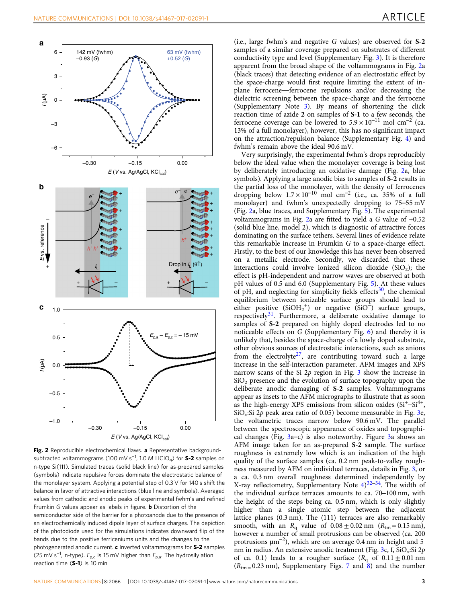<span id="page-2-0"></span>

Fig. 2 Reproducible electrochemical flaws. a Representative backgroundsubtracted voltammograms (100 mV s<sup>−1</sup>, 1.0 M HClO<sub>4</sub>) for **S-2** samples on n-type Si(111). Simulated traces (solid black line) for as-prepared samples (symbols) indicate repulsive forces dominate the electrostatic balance of the monolayer system. Applying a potential step of 0.3 V for 140 s shift the balance in favor of attractive interactions (blue line and symbols). Averaged values from cathodic and anodic peaks of experimental fwhm's and refined Frumkin G values appear as labels in figure. **b** Distortion of the semiconductor side of the barrier for a photoanode due to the presence of an electrochemically induced dipole layer of surface charges. The depiction of the photodiode used for the simulations indicates downward flip of the bands due to the positive ferriceniums units and the changes to the photogenerated anodic current. c Inverted voltammograms for S-2 samples (25 mV s<sup>-1</sup>, n-type).  $E_{p,c}$  is 15 mV higher than  $E_{p,a}$ . The hydrosilylation reaction time (S-1) is 10 min

(i.e., large fwhm's and negative G values) are observed for S-2 samples of a similar coverage prepared on substrates of different conductivity type and level (Supplementary Fig. 3). It is therefore apparent from the broad shape of the voltammograms in Fig. 2a (black traces) that detecting evidence of an electrostatic effect by the space-charge would first require limiting the extent of inplane ferrocene—ferrocene repulsions and/or decreasing the dielectric screening between the space-charge and the ferrocene (Supplementary Note 3). By means of shortening the click reaction time of azide 2 on samples of S-1 to a few seconds, the ferrocene coverage can be lowered to  $5.9 \times 10^{-11}$  mol cm<sup>-2</sup> (ca. 13% of a full monolayer), however, this has no significant impact on the attraction/repulsion balance (Supplementary Fig. 4) and fwhm's remain above the ideal 90.6 mV.

Very surprisingly, the experimental fwhm's drops reproducibly below the ideal value when the monolayer coverage is being lost by deliberately introducing an oxidative damage (Fig. 2a, blue symbols). Applying a large anodic bias to samples of S-2 results in the partial loss of the monolayer, with the density of ferrocenes dropping below  $1.7 \times 10^{-10}$  mol cm<sup>-2</sup> (i.e., ca. 35% of a full monolayer) and fwhm's unexpectedly dropping to 75–55 mV (Fig. 2a, blue traces, and Supplementary Fig. 5). The experimental voltammograms in Fig. 2a are fitted to yield a G value of +0.52 (solid blue line, model 2), which is diagnostic of attractive forces dominating on the surface tethers. Several lines of evidence relate this remarkable increase in Frumkin G to a space-charge effect. Firstly, to the best of our knowledge this has never been observed on a metallic electrode. Secondly, we discarded that these interactions could involve ionized silicon dioxide  $(SiO<sub>2</sub>)$ ; the effect is pH-independent and narrow waves are observed at both pH values of 0.5 and 6.0 (Supplementary Fig. 5). At these values of pH, and neglecting for simplicity fields effects<sup>[30](#page-8-0)</sup>, the chemical equilibrium between ionizable surface groups should lead to either positive  $(SiOH<sub>2</sub><sup>+</sup>)$  or negative  $(SiO<sup>-</sup>)$  surface groups, respectively<sup>31</sup>. Furthermore, a deliberate oxidative damage to samples of S-2 prepared on highly doped electrodes led to no noticeable effects on G (Supplementary Fig. 6) and thereby it is unlikely that, besides the space-charge of a lowly doped substrate, other obvious sources of electrostatic interactions, such as anions from the electrolyte<sup>[27](#page-8-0)</sup>, are contributing toward such a large increase in the self-interaction parameter. AFM images and XPS narrow scans of the Si  $2p$  region in Fig. [3](#page-3-0) show the increase in  $SiO<sub>2</sub>$  presence and the evolution of surface topography upon the deliberate anodic damaging of S-2 samples. Voltammograms appear as insets to the AFM micrographs to illustrate that as soon as the high-energy XPS emissions from silicon oxides  $(Si<sup>+</sup>-Si<sup>4+</sup>,$ SiO<sub>x</sub>:Si 2p peak area ratio of 0.05) become measurable in Fig. [3e](#page-3-0), the voltametric traces narrow below 90.6 mV. The parallel between the spectroscopic appearance of oxides and topographical changes (Fig. [3](#page-3-0)a–c) is also noteworthy. Figure [3](#page-3-0)a shows an AFM image taken for an as-prepared S-2 sample. The surface roughness is extremely low which is an indication of the high quality of the surface samples (ca. 0.2 nm peak-to-valley roughness measured by AFM on individual terraces, details in Fig. [3,](#page-3-0) or a ca. 0.3 nm overall roughness determined independently by X-ray reflectometry, Supplementary Note  $4)^{32-34}$  $4)^{32-34}$  $4)^{32-34}$  $4)^{32-34}$  $4)^{32-34}$ . The width of the individual surface terraces amounts to ca. 70–100 nm, with the height of the steps being ca. 0.5 nm, which is only slightly higher than a single atomic step between the adjacent lattice planes (0.3 nm). The 〈111〉 terraces are also remarkably smooth, with an  $R_{q}$  value of  $0.08 \pm 0.02$  nm  $(R_{tm} = 0.15$  nm), however a number of small protrusions can be observed (ca. 200 protrusions  $\mu$ m<sup>-2</sup>), which are on average 0.4 nm in height and 5 nm in radius. An extensive anodic treatment (Fig. [3](#page-3-0)c, f, SiO<sub>x</sub>:Si 2p of ca. 0.1) leads to a rougher surface  $(R_q \text{ of } 0.11 \pm 0.01 \text{ nm})$  $(R<sub>tm</sub> = 0.23 nm)$ , Supplementary Figs. 7 and 8) and the number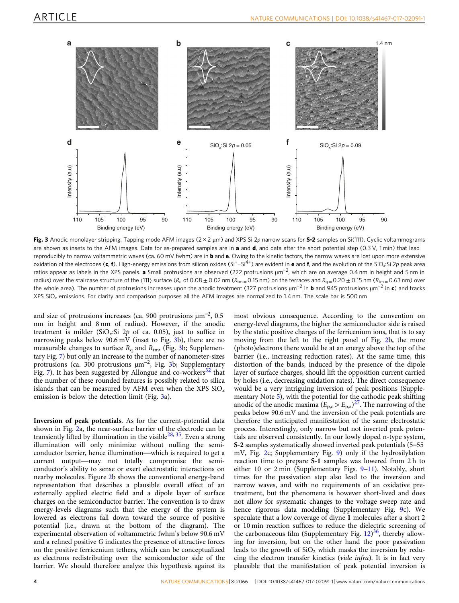<span id="page-3-0"></span>

Fig. 3 Anodic monolayer stripping. Tapping mode AFM images  $(2 \times 2 \mu m)$  and XPS Si 2p narrow scans for S-2 samples on Si(111). Cyclic voltammograms are shown as insets to the AFM images. Data for as-prepared samples are in a and  $d$ , and data after the short potential step (0.3 V, 1 min) that lead reproducibly to narrow voltammetric waves (ca. 60 mV fwhm) are in and **. Owing to the kinetic factors, the narrow waves are lost upon more extensive** oxidation of the electrodes (c, f). High-energy emissions from silicon oxides (Si<sup>+</sup>-Si<sup>4+</sup>) are evident in e and f, and the evolution of the SiO<sub>x</sub>:Si 2p peak area ratios appear as labels in the XPS panels. a Small protrusions are observed (222 protrusions µm<sup>-2</sup>, which are on average 0.4 nm in height and 5 nm in radius) over the staircase structure of the (111) surface ( $R_q$  of 0.08  $\pm$  0.02 nm ( $R_{\text{tm}} = 0.15$  nm) on the terraces and  $R_q = 0.20 \pm 0.15$  nm ( $R_{\text{tm}} = 0.63$  nm) over the whole area). The number of protrusions increases upon the anodic treatment (327 protrusions μm<sup>−2</sup> in **b** and 945 protrusions μm<sup>−2</sup> in **c**) and tracks XPS SiO<sup>x</sup> emissions. For clarity and comparison purposes all the AFM images are normalized to 1.4 nm. The scale bar is 500 nm

and size of protrusions increases (ca. 900 protrusions  $\mu$ m<sup>-2</sup>, 0.5 nm in height and 8 nm of radius). However, if the anodic treatment is milder (SiO<sub>x</sub>:Si 2p of ca. 0.05), just to suffice in narrowing peaks below  $90.6 \,\mathrm{mV}$  (inset to Fig. 3b), there are no measurable changes to surface  $R_q$  and  $R_{tm}$ , (Fig. 3b; Supplementary Fig. 7) but only an increase to the number of nanometer-sizes protrusions (ca. 300 protrusions  $\mu$ m<sup>-2</sup>, Fig. 3b; Supplementary Fig. 7). It has been suggested by Allongue and co-workers $32$  that the number of these rounded features is possibly related to silica islands that can be measured by AFM even when the XPS  $SiO_x$ emission is below the detection limit (Fig. 3a).

Inversion of peak potentials. As for the current-potential data shown in Fig. [2a](#page-2-0), the near-surface barrier of the electrode can be transiently lifted by illumination in the visible<sup>[28](#page-8-0), [35](#page-8-0)</sup>. Even a strong illumination will only minimize without nulling the semiconductor barrier, hence illumination—which is required to get a current output—may not totally compromise the semiconductor's ability to sense or exert electrostatic interactions on nearby molecules. Figure [2](#page-2-0)b shows the conventional energy-band representation that describes a plausible overall effect of an externally applied electric field and a dipole layer of surface charges on the semiconductor barrier. The convention is to draw energy-levels diagrams such that the energy of the system is lowered as electrons fall down toward the source of positive potential (i.e., drawn at the bottom of the diagram). The experimental observation of voltammetric fwhm's below 90.6 mV and a refined positive G indicates the presence of attractive forces on the positive ferricenium tethers, which can be conceptualized as electrons redistributing over the semiconductor side of the barrier. We should therefore analyze this hypothesis against its

most obvious consequence. According to the convention on energy-level diagrams, the higher the semiconductor side is raised by the static positive charges of the ferricenium ions, that is to say moving from the left to the right panel of Fig. [2](#page-2-0)b, the more (photo)electrons there would be at an energy above the top of the barrier (i.e., increasing reduction rates). At the same time, this distortion of the bands, induced by the presence of the dipole layer of surface charges, should lift the opposition current carried by holes (i.e., decreasing oxidation rates). The direct consequence would be a very intriguing inversion of peak positions (Supplementary Note 5), with the potential for the cathodic peak shifting anodic of the anodic maxima  $(E_{p,c} > E_{p,a})^{27}$ . The narrowing of the peaks below 90.6 mV and the inversion of the peak potentials are therefore the anticipated manifestation of the same electrostatic process. Interestingly, only narrow but not inverted peak potentials are observed consistently. In our lowly doped n-type system, S-2 samples systematically showed inverted peak potentials (5–55 mV, Fig. [2c](#page-2-0); Supplementary Fig. 9) only if the hydrosilylation reaction time to prepare S-1 samples was lowered from 2 h to either 10 or 2 min (Supplementary Figs. 9–11). Notably, short times for the passivation step also lead to the inversion and narrow waves, and with no requirements of an oxidative pretreatment, but the phenomena is however short-lived and does not allow for systematic changes to the voltage sweep rate and hence rigorous data modeling (Supplementary Fig. 9c). We speculate that a low coverage of diyne 1 molecules after a short 2 or 10 min reaction suffices to reduce the dielectric screening of the carbonaceous film (Supplementary Fig.  $12)^{36}$ , thereby allowing for inversion, but on the other hand the poor passivation leads to the growth of  $SiO<sub>2</sub>$  which masks the inversion by reducing the electron transfer kinetics (vide infra). It is in fact very plausible that the manifestation of peak potential inversion is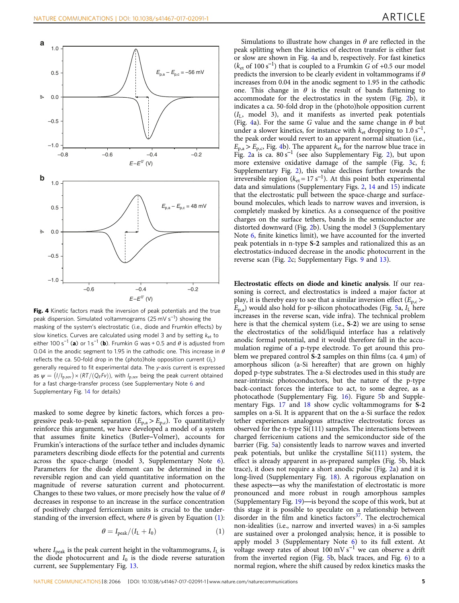

Fig. 4 Kinetic factors mask the inversion of peak potentials and the true peak dispersion. Simulated voltammograms (25 mV s<sup>−1</sup>) showing the masking of the system's electrostatic (i.e., diode and Frumkin effects) by slow kinetics. Curves are calculated using model 3 and by setting  $k_{\text{et}}$  to either 100 s<sup>-1</sup> (a) or 1 s<sup>-1</sup> (b). Frumkin G was + 0.5 and  $\theta$  is adjusted from 0.04 in the anodic segment to 1.95 in the cathodic one. This increase in  $\theta$ reflects the ca. 50-fold drop in the (photo)hole opposition current  $(I_L)$ generally required to fit experimental data. The y-axis current is expressed as  $\psi = (I/I_{p,rev}) \times (RT/(Q_F Fv))$ , with  $I_{p,rev}$  being the peak current obtained for a fast charge-transfer process (see Supplementary Note 6 and Supplementary Fig. 14 for details)

masked to some degree by kinetic factors, which forces a progressive peak-to-peak separation  $(E_{p,a} > E_{p,c})$ . To quantitatively reinforce this argument, we have developed a model of a system that assumes finite kinetics (Butler–Volmer), accounts for Frumkin's interactions of the surface tether and includes dynamic parameters describing diode effects for the potential and currents across the space-charge (model 3, Supplementary Note 6). Parameters for the diode element can be determined in the reversible region and can yield quantitative information on the magnitude of reverse saturation current and photocurrent. Changes to these two values, or more precisely how the value of  $\theta$ decreases in response to an increase in the surface concentration of positively charged ferricenium units is crucial to the understanding of the inversion effect, where  $\theta$  is given by Equation (1):

$$
\theta = I_{\text{peak}}/(I_{\text{L}} + I_0) \tag{1}
$$

where  $I_{\text{peak}}$  is the peak current height in the voltammograms,  $I_{\text{L}}$  is the diode photocurrent and  $I_0$  is the diode reverse saturation current, see Supplementary Fig. 13.

Simulations to illustrate how changes in  $\theta$  are reflected in the peak splitting when the kinetics of electron transfer is either fast or slow are shown in Fig. 4a and b, respectively. For fast kinetics  $(k<sub>et</sub>$  of 100 s<sup>-1</sup>) that is coupled to a Frumkin G of +0.5 our model predicts the inversion to be clearly evident in voltammograms if  $\theta$ increases from 0.04 in the anodic segment to 1.95 in the cathodic one. This change in  $\theta$  is the result of bands flattening to accommodate for the electrostatics in the system (Fig. [2b](#page-2-0)), it indicates a ca. 50-fold drop in the (photo)hole opposition current  $(I_L, \text{ model } 3)$ , and it manifests as inverted peak potentials (Fig. 4a). For the same G value and the same change in  $\theta$  but under a slower kinetics, for instance with  $k_{\text{et}}$  dropping to 1.0 s<sup>-1</sup>, the peak order would revert to an apparent normal situation (i.e.,  $E_{p,a}$  >  $E_{p,c}$ , Fig. 4b). The apparent  $k_{et}$  for the narrow blue trace in Fig. [2](#page-2-0)a is ca.  $80 s^{-1}$  (see also Supplementary Fig. 2), but upon more extensive oxidative damage of the sample (Fig. [3](#page-3-0)c, f; Supplementary Fig. 2), this value declines further towards the irreversible region ( $k_{et}$  = 17 s<sup>-1</sup>). At this point both experimental data and simulations (Supplementary Figs. 2, 14 and 15) indicate that the electrostatic pull between the space-charge and surfacebound molecules, which leads to narrow waves and inversion, is completely masked by kinetics. As a consequence of the positive charges on the surface tethers, bands in the semiconductor are distorted downward (Fig. [2](#page-2-0)b). Using the model 3 (Supplementary Note 6, finite kinetics limit), we have accounted for the inverted peak potentials in n-type S-2 samples and rationalized this as an electrostatics-induced decrease in the anodic photocurrent in the reverse scan (Fig. [2c](#page-2-0); Supplementary Figs. 9 and 13).

Electrostatic effects on diode and kinetic analysis. If our reasoning is correct, and electrostatics is indeed a major factor at play, it is thereby easy to see that a similar inversion effect  $(E_{p,c}$  $E_{p,a}$ ) would also hold for p-silicon photocathodes (Fig. [5a](#page-5-0),  $I_L$  here increases in the reverse scan, vide infra). The technical problem here is that the chemical system (i.e., S-2) we are using to sense the electrostatics of the solid/liquid interface has a relatively anodic formal potential, and it would therefore fall in the accumulation regime of a p-type electrode. To get around this problem we prepared control S-2 samples on thin films (ca. 4  $\mu$ m) of amorphous silicon (a-Si hereafter) that are grown on highly doped p-type substrates. The a-Si electrodes used in this study are near-intrinsic photoconductors, but the nature of the p-type back-contact forces the interface to act, to some degree, as a photocathode (Supplementary Fig. 16). Figure [5b](#page-5-0) and Supplementary Figs. 17 and 18 show cyclic voltammograms for S-2 samples on a-Si. It is apparent that on the a-Si surface the redox tether experiences analogous attractive electrostatic forces as observed for the n-type Si(111) samples. The interactions between charged ferricenium cations and the semiconductor side of the barrier (Fig. [5a](#page-5-0)) consistently leads to narrow waves and inverted peak potentials, but unlike the crystalline Si(111) system, the effect is already apparent in as-prepared samples (Fig. [5b](#page-5-0), black trace), it does not require a short anodic pulse (Fig. [2a](#page-2-0)) and it is long-lived (Supplementary Fig. 18). A rigorous explanation on these aspects—as why the manifestation of electrostatic is more pronounced and more robust in rough amorphous samples (Supplementary Fig. 19)—is beyond the scope of this work, but at this stage it is possible to speculate on a relationship between disorder in the film and kinetics factors<sup>[37](#page-8-0)</sup>. The electrochemical non-idealities (i.e., narrow and inverted waves) in a-Si samples are sustained over a prolonged analysis; hence, it is possible to apply model 3 (Supplementary Note 6) to its full extent. At voltage sweep rates of about 100 mV s−<sup>1</sup> we can observe a drift from the inverted region (Fig. [5b](#page-5-0), black traces, and Fig. [6\)](#page-5-0) to a normal region, where the shift caused by redox kinetics masks the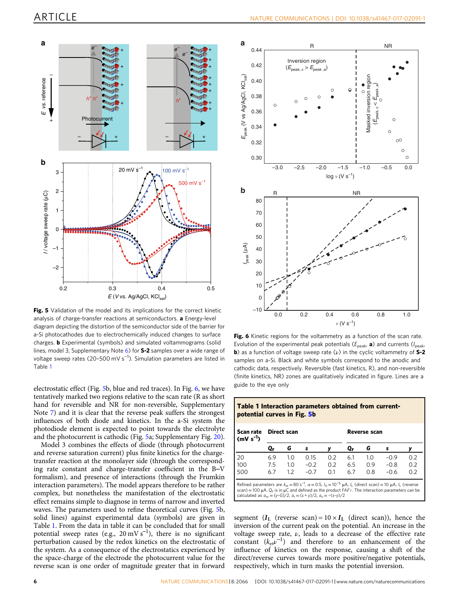<span id="page-5-0"></span>

Fig. 5 Validation of the model and its implications for the correct kinetic analysis of charge-transfer reactions at semiconductors. a Energy-level diagram depicting the distortion of the semiconductor side of the barrier for a-Si photocathodes due to electrochemically induced changes to surface charges. **b** Experimental (symbols) and simulated voltammograms (solid lines, model 3, Supplementary Note 6) for **S-2** samples over a wide range of voltage sweep rates (20-500 mV s<sup>-1</sup>). Simulation parameters are listed in Table 1

electrostatic effect (Fig. 5b, blue and red traces). In Fig. 6, we have tentatively marked two regions relative to the scan rate (R as short hand for reversible and NR for non-reversible, Supplementary Note 7) and it is clear that the reverse peak suffers the strongest influences of both diode and kinetics. In the a-Si system the photodiode element is expected to point towards the electrolyte and the photocurrent is cathodic (Fig. 5a; Supplementary Fig. 20).

Model 3 combines the effects of diode (through photocurrent and reverse saturation current) plus finite kinetics for the chargetransfer reaction at the monolayer side (through the corresponding rate constant and charge-transfer coefficient in the B–V formalism), and presence of interactions (through the Frumkin interaction parameters). The model appears therefore to be rather complex, but nonetheless the manifestation of the electrostatic effect remains simple to diagnose in terms of narrow and inverted waves. The parameters used to refine theoretical curves (Fig. 5b, solid lines) against experimental data (symbols) are given in Table 1. From the data in table it can be concluded that for small potential sweep rates (e.g.,  $20 \text{ mV s}^{-1}$ ), there is no significant perturbation caused by the redox kinetics on the electrostatic of the system. As a consequence of the electrostatics experienced by the space-charge of the electrode the photocurrent value for the reverse scan is one order of magnitude greater that in forward



Fig. 6 Kinetic regions for the voltammetry as a function of the scan rate. Evolution of the experimental peak potentials ( $E_{\text{peak}}$ , a) and currents ( $I_{\text{peak}}$ **b**) as a function of voltage sweep rate  $(\nu)$  in the cyclic voltammetry of S-2 samples on a-Si. Black and white symbols correspond to the anodic and cathodic data, respectively. Reversible (fast kinetics, R), and non-reversible (finite kinetics, NR) zones are qualitatively indicated in figure. Lines are a guide to the eye only

Table 1 Interaction parameters obtained from current-

potential curves in Fig. 5b

| Scan rate<br>$(mV s-1)$                                                                                                                                                                                                                                                                                                                               | Direct scan |     |        |     | Reverse scan |     |        |     |
|-------------------------------------------------------------------------------------------------------------------------------------------------------------------------------------------------------------------------------------------------------------------------------------------------------------------------------------------------------|-------------|-----|--------|-----|--------------|-----|--------|-----|
|                                                                                                                                                                                                                                                                                                                                                       | QF          | G   | s      |     | QF.          | G   | s      |     |
| 20                                                                                                                                                                                                                                                                                                                                                    | 6.9         | 1.0 | 0.15   | 0.2 | 6.1          | 1.0 | $-0.9$ | 0.2 |
| 100                                                                                                                                                                                                                                                                                                                                                   | 7.5         | 1.0 | $-0.2$ | 0.2 | 6.5          | 0.9 | $-0.8$ | 0.2 |
| 500                                                                                                                                                                                                                                                                                                                                                   | 6.7         | 1.2 | $-0.7$ | 0.1 | 6.7          | 0.8 | $-0.6$ | 0.2 |
| Refined parameters are $k_{\alpha t} = 80 s^{-1}$ , $\alpha = 0.5$ , $l_0 = 10^{-5}$ $\mu A$ , $l_1$ (direct scan) = 10 $\mu A$ , $l_1$ (reverse<br>scan) = 100 $\mu$ A. Q <sub>F</sub> is in $\mu$ C and defined as the product $FAT_T$ . The interaction parameters can be<br>calculated as $a_{or} = (y-G)/2$ , $a_r = (s+y)/2$ , $a_o = -(s-y)/2$ |             |     |        |     |              |     |        |     |

segment ( $I_L$  (reverse scan) =  $10 \times I_L$  (direct scan)), hence the inversion of the current peak on the potential. An increase in the voltage sweep rate,  $\nu$ , leads to a decrease of the effective rate constant  $(k_{et}v^{-1})$  and therefore to an enhancement of the influence of kinetics on the response, causing a shift of the direct/reverse curves towards more positive/negative potentials, respectively, which in turn masks the potential inversion.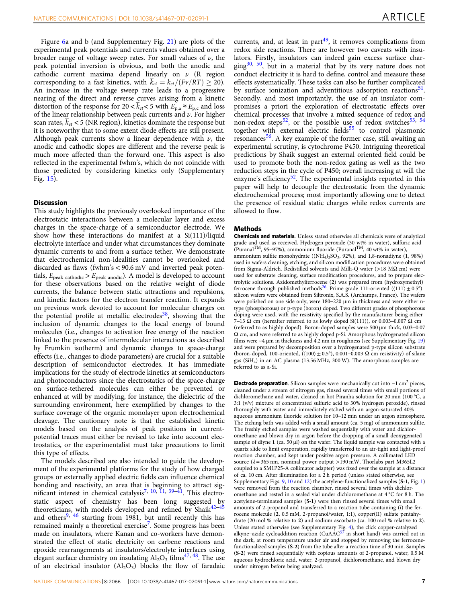Figure [6a](#page-5-0) and b (and Supplementary Fig. 21) are plots of the experimental peak potentials and currents values obtained over a broader range of voltage sweep rates. For small values of  $\nu$ , the peak potential inversion is obvious, and both the anodic and cathodic current maxima depend linearly on  $\nu$  (R region corresponding to a fast kinetics, with  $k_{et} = k_{et}/(Fv/RT) \ge 20$ . An increase in the voltage sweep rate leads to a progressive nearing of the direct and reverse curves arising from a kinetic distortion of the response for  $20 < \overline{k}_{et} < 5$  with  $E_{p,a} \approx E_{p,c}$  and loss of the linear relationship between peak currents and  $\nu$ . For higher scan rates,  $\overline{k}_{et}$  < 5 (NR region), kinetics dominate the response but it is noteworthy that to some extent diode effects are still present. Although peak currents show a linear dependence with  $\nu$ , the anodic and cathodic slopes are different and the reverse peak is much more affected than the forward one. This aspect is also reflected in the experimental fwhm's, which do not coincide with those predicted by considering kinetics only (Supplementary Fig. 15).

### **Discussion**

This study highlights the previously overlooked importance of the electrostatic interactions between a molecular layer and excess charges in the space-charge of a semiconductor electrode. We show how these interactions do manifest at a Si(111)/liquid electrolyte interface and under what circumstances they dominate dynamic currents to and from a surface tether. We demonstrate that electrochemical non-idealities cannot be overlooked and discarded as flaws (fwhm's < 90.6 mV and inverted peak potentials,  $E_{\text{peak cathodic}} > E_{\text{peak anodic}}$ . A model is developed to account for these observations based on the relative weight of diode currents, the balance between static attractions and repulsions, and kinetic factors for the electron transfer reaction. It expands on previous work devoted to account for molecular charges on the potential profile at metallic electrodes<sup>38</sup>, showing that the inclusion of dynamic changes to the local energy of bound molecules (i.e., changes to activation free energy of the reaction linked to the presence of intermolecular interactions as described by Frumkin isotherm) and dynamic changes to space-charge effects (i.e., changes to diode parameters) are crucial for a suitable description of semiconductor electrodes. It has immediate implications for the study of electrode kinetics at semiconductors and photoconductors since the electrostatics of the space-charge on surface-tethered molecules can either be prevented or enhanced at will by modifying, for instance, the dielectric of the surrounding environment, here exemplified by changes to the surface coverage of the organic monolayer upon electrochemical cleavage. The cautionary note is that the established kinetic models based on the analysis of peak positions in currentpotential traces must either be revised to take into account electrostatics, or the experimentalist must take precautions to limit this type of effects.

The models described are also intended to guide the development of the experimental platforms for the study of how charged groups or externally applied electric fields can influence chemical bonding and reactivity, an area that is beginning to attract sig-nificant interest in chemical catalysis<sup>[7](#page-7-0), [10](#page-7-0), [11](#page-7-0), [39](#page-8-0)–[41](#page-8-0)</sup>. This electro-static aspect of chemistry has been long suggested by<br>theoreticians, with models developed and refined by Shaik<sup>[42](#page-8-0)–[45](#page-8-0)</sup> and others<sup>[9](#page-7-0), [46](#page-8-0)</sup> starting from 1981, but until recently this has remained mainly a theoretical exercise<sup>7</sup>. Some progress has been made on insulators, where Kanan and co-workers have demonstrated the effect of static electricity on carbene reactions and epoxide rearrangements at insulators/electrolyte interfaces using elegant surface chemistry on insulating  $Al_2O_3$  films<sup>[47,](#page-8-0) [48](#page-8-0)</sup>. The use of an electrical insulator  $(Al_2O_3)$  blocks the flow of faradaic currents, and, at least in part $49$ , it removes complications from redox side reactions. There are however two caveats with insulators. Firstly, insulators can indeed gain excess surface charging $30$ ,  $50$ , but in a material that by its very nature does not conduct electricity it is hard to define, control and measure these effects systematically. These tasks can also be further complicated by surface ionization and adventitious adsorption reactions<sup>51</sup>. Secondly, and most importantly, the use of an insulator compromises a priori the exploration of electrostatic effects over chemical processes that involve a mixed sequence of redox and non-redox steps<sup>52</sup>, or the possible use of redox switches<sup>53, [54](#page-8-0)</sup> together with external electric fields $55$  to control plasmonic resonances $56$ . A key example of the former case, still awaiting an experimental scrutiny, is cytochrome P450. Intriguing theoretical predictions by Shaik suggest an external oriented field could be used to promote both the non-redox gating as well as the two reduction steps in the cycle of P450; overall increasing at will the enzyme's efficiency<sup>52</sup>. The experimental insights reported in this paper will help to decouple the electrostatic from the dynamic electrochemical process; most importantly allowing one to detect the presence of residual static charges while redox currents are allowed to flow.

## Methods

Chemicals and materials. Unless stated otherwise all chemicals were of analytical grade and used as received. Hydrogen peroxide (30 wt% in water), sulfuric acid (Puranal<sup>TM</sup>, 95–97%), ammonium fluoride (Puranal<sup>TM</sup>, 40 wt% in water), ammonium sulfite monohydrate  $((NH<sub>4</sub>)<sub>2</sub>SO<sub>3</sub>, 92%)$ , and 1,8-nonadiyne  $(1, 98%)$ used in wafers cleaning, etching, and silicon modification procedures were obtained from Sigma-Aldrich. Redistilled solvents and Milli-Q water (>18 MΩ cm) were used for substrate cleaning, surface modification procedures, and to prepare electrolytic solutions. Azidomethylferrocene (2) was prepared from (hydroxymethyl) ferrocene through published methods<sup>26</sup>. Prime grade 111-oriented ( $\langle 111 \rangle \pm 0.5^{\circ}$ ) silicon wafers were obtained from Siltronix, S.A.S. (Archamps, France). The wafers were polished on one side only, were 180–220 μm in thickness and were either ntype (phosphorous) or p-type (boron) doped. Two different grades of phosphorous doping were used, with the resistivity specified by the manufacturer being either 7–13  $\Omega$  cm (hereafter referred to as lowly doped Si(111)), or 0.003–0.007  $\Omega$  cm (referred to as highly doped). Boron-doped samples were 500 µm thick, 0.03–0.07 Ω cm, and were referred to as highly doped p-Si. Amorphous hydrogenated silicon films were  $\sim$ 4  $\mu$ m in thickness and 4.2 nm in roughness (see Supplementary Fig. 19) and were prepared by decomposition over a hydrogenated p-type silicon substrate (boron-doped, 100-oriented,  $(\langle 100 \rangle \pm 0.5^{\circ})$ , 0.001–0.003  $\Omega$  cm resistivity) of silane gas (SiH4) in an AC plasma (13.56 MHz, 300 W). The amorphous samples are referred to as a-Si.

**Electrode preparation**. Silicon samples were mechanically cut into  $\sim$ 1 cm<sup>2</sup> pieces, cleaned under a stream of nitrogen gas, rinsed several times with small portions of dichloromethane and water, cleaned in hot Piranha solution for 20 min (100 °C, a 3:1 (v/v) mixture of concentrated sulfuric acid to 30% hydrogen peroxide), rinsed thoroughly with water and immediately etched with an argon-saturated 40% aqueous ammonium fluoride solution for 10–12 min under an argon atmosphere. The etching bath was added with a small amount (ca. 5 mg) of ammonium sulfite. The freshly etched samples were washed sequentially with water and dichloromethane and blown dry in argon before the dropping of a small deoxygenated sample of diyne 1 (ca. 50 μl) on the wafer. The liquid sample was contacted with a quartz slide to limit evaporation, rapidly transferred to an air-tight and light-proof reaction chamber, and kept under positive argon pressure. A collimated LED source ( $\lambda$  = 365 nm, nominal power output >190 mW, Thorlabs part M365L2 coupled to a SM1P25-A collimator adapter) was fixed over the sample at a distance of ca. 10 cm. After illumination for a 2 h period (unless stated otherwise, see Supplementary Figs. 9, 10 and 12) the acetylene-functionalized samples (S-1, Fig. [1](#page-1-0)) were removed from the reaction chamber, rinsed several times with dichloromethane and rested in a sealed vial under dichloromethane at 4 °C for 8 h. The acetylene-terminated samples (S-1) were then rinsed several times with small amounts of 2-propanol and transferred to a reaction tube containing (i) the ferrocene molecule (2, 0.5 mM, 2-propanol/water, 1:1), copper(II) sulfate pentahydrate (20 mol % relative to 2) and sodium ascorbate (ca. 100 mol % relative to 2). Unless stated otherwise (see Supplementary Fig. 4), the click copper-catalyzed alkyne–azide cycloaddition reaction (CuAAC<sup>[57](#page-8-0)</sup> in short hand) was carried out in the dark, at room temperature under air and stopped by removing the ferrocenefunctionalized samples (S-2) from the tube after a reaction time of 30 min. Samples (S-2) were rinsed sequentially with copious amounts of 2-propanol, water, 0.5 M aqueous hydrochloric acid, water, 2-propanol, dichloromethane, and blown dry under nitrogen before being analyzed.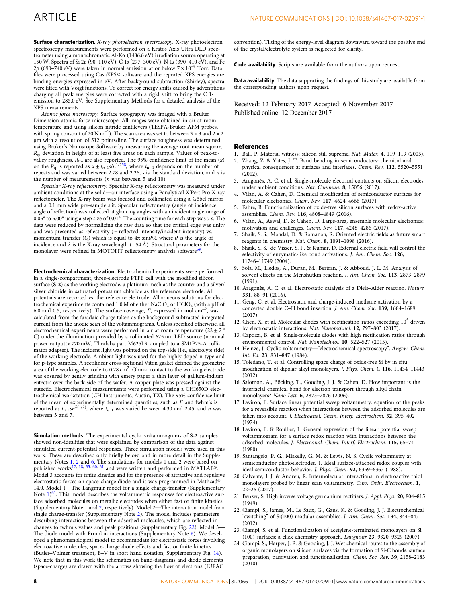<span id="page-7-0"></span>Surface characterization. X-ray photoelectron spectroscopy. X-ray photoelectron spectroscopy measurements were performed on a Kratos Axis Ultra DLD spectrometer using a monochromatic Al-Kα (1486.6 eV) irradiation source operating at 150 W. Spectra of Si 2p (90–110 eV), C 1s (277–300 eV), N 1s (390–410 eV), and Fe 2p (690–740 eV) were taken in normal emission at or below  $7 \times 10^{-9}$  Torr. Data files were processed using CasaXPS© software and the reported XPS energies are binding energies expressed in eV. After background subtraction (Shirley), spectra were fitted with Voigt functions. To correct for energy shifts caused by adventitious charging all peak energies were corrected with a rigid shift to bring the C 1s emission to 285.0 eV. See Supplementary Methods for a detailed analysis of the XPS measurements.

Atomic force microscopy. Surface topography was imaged with a Bruker Dimension atomic force microscope. All images were obtained in air at room temperature and using silicon nitride cantilevers (TESPA-Bruker AFM probes, with spring constant of 20 N m<sup>-1</sup>). The scan area was set to between  $3 \times 3$  and  $2 \times 2$ µm with a resolution of 512 points/line. The surface roughness was determined using Bruker's Nanoscope Software by measuring the average root mean square,  $R_{\rm q}$ , deviation in height of at least five areas on each sample. Values of peak-tovalley roughness,  $R_{\text{tm}}$  are also reported. The 95% confidence limit of the mean  $(x)$ on the  $R_q$  is reported as  $x \pm t_{n-1} s/n^{1/258}$ , where  $t_{n-1}$  depends on the number of repeats and was varied between 2.78 and 2.26, s is the standard deviation, and n is the number of measurements (n was between 5 and 10).

Specular X-ray reflectometry. Specular X-ray reflectometry was measured under ambient conditions at the solid—air interface using a Panalytical X'Pert Pro X-ray reflectometer. The X-ray beam was focused and collimated using a Göbel mirror and a 0.1 mm wide pre-sample slit. Specular reflectometry (angle of incidence = angle of reflection) was collected at glancing angles with an incident angle range of 0.05° to 5.00° using a step size of 0.01°. The counting time for each step was 7 s. The data were reduced by normalizing the raw data so that the critical edge was unity and was presented as reflectivity  $($  = reflected intensity/incident intensity) vs. momentum transfer (Q) which is equal to  $4\pi \sin\theta/\lambda$ , where  $\theta$  is the angle of incidence and  $\lambda$  is the X-ray wavelength (1.54 Å). Structural parameters for the monolayer were refined in MOTOFIT reflectometry analysis software<sup>59</sup>.

Electrochemical characterization. Electrochemical experiments were performed in a single-compartment, three-electrode PTFE cell with the modified silicon surface (S-2) as the working electrode, a platinum mesh as the counter and a silver/ silver chloride in saturated potassium chloride as the reference electrode. All potentials are reported vs. the reference electrode. All aqueous solutions for electrochemical experiments contained 1.0 M of either  $NaClO<sub>4</sub>$  or  $HClO<sub>4</sub>$  (with a pH of 6.0 and 0.5, respectively). The surface coverage,  $\Gamma$ , expressed in mol cm<sup>-2</sup>, was calculated from the faradaic charge taken as the background-subtracted integrated current from the anodic scan of the voltammograms. Unless specified otherwise, all electrochemical experiments were performed in air at room temperature (22  $\pm$  2  $^{\circ}$ C) under the illumination provided by a collimated 625 nm LED source (nominal power output > 770 mW, Thorlabs part M625L3, coupled to a SM1P25-A collimator adapter). The incident light was pointed on the top-side (i.e., electrolyte side) of the working electrode. Ambient light was used for the highly doped n-type and for p-type samples. A rectilinear cross-sectional Viton gasket defined the geometric area of the working electrode to 0.28 cm<sup>2</sup>. Ohmic contact to the working electrode was ensured by gently grinding with emery paper a thin layer of gallium-indium eutectic over the back side of the wafer. A copper plate was pressed against the eutectic. Electrochemical measurements were performed using a CHI650D electrochemical workstation (CH Instruments, Austin, TX). The 95% confidence limit of the mean of experimentally determined quantities, such as  $\Gamma$  and fwhm's is reported as  $t_{n-1}$ sn<sup>-(1/2)</sup>, where  $t_{n-1}$  was varied between 4.30 and 2.45, and *n* was between 3 and 7.

Simulation methods. The experimental cyclic voltammograms of S-2 samples showed non-idealities that were explained by comparison of the data against simulated current-potential responses. Three simulation models were used in this work. These are described only briefly below, and in more detail in the Supple-mentary Notes 1, 2 and 6. The simulations for models 1 and 2 were based on published works<sup>17, 18, [55,](#page-8-0) [60,](#page-8-0) [61](#page-8-0)</sup> and were written and performed in MATLAB®. Model 3 accounts for finite kinetics and for the presence of attractive and repulsive electrostatic forces on space-charge diode and it was programmed in Mathcad® 14.0. Model 1—The Langmuir model for a single charge-transfer (Supplementary Note 1)<sup>61</sup>. This model describes the voltammetric responses for electroactive surface adsorbed molecules on metallic electrodes when either fast or finite kinetics (Supplementary Note 1 and 2, respectively). Model 2—The interaction model for a single charge-transfer (Supplementary Note 2). The model includes parameters describing interactions between the adsorbed molecules, which are reflected in changes to fwhm's values and peak positions (Supplementary Fig. 22). Model 3— The diode model with Frumkin interactions (Supplementary Note 6). We developed a phenomenological model to accommodate for electrostatic forces involving electroactive molecules, space-charge diode effects and fast or finite kinetics (Butler–Volmer treatment, B–V in short hand notation, Supplementary Fig. 14). We note that in this work the schematics on band-diagrams and diode elements (space-charge) are drawn with the arrows showing the flow of electrons (IUPAC

convention). Tilting of the energy-level diagram downward toward the positive end of the crystal/electrolyte system is neglected for clarity.

Code availability. Scripts are available from the authors upon request.

Data availability. The data supporting the findings of this study are available from the corresponding authors upon request.

Received: 12 February 2017 Accepted: 6 November 2017

#### **References**

- 1. Ball, P. Material witness: silicon still supreme. Nat. Mater. 4, 119–119 (2005).
- 2. Zhang, Z. & Yates, J. T. Band bending in semiconductors: chemical and physical consequences at surfaces and interfaces. Chem. Rev. 112, 5520–5551
- $(2012)$ 3. Aragonès, A. C. et al. Single-molecule electrical contacts on silicon electrodes under ambient conditions. Nat. Commun. 8, 15056 (2017).
- 4. Vilan, A. & Cahen, D. Chemical modification of semiconductor surfaces for molecular electronics. Chem. Rev. 117, 4624–4666 (2017).
- 5. Fabre, B. Functionalization of oxide-free silicon surfaces with redox-active assemblies. Chem. Rev. 116, 4808–4849 (2016).
- 6. Vilan, A., Aswal, D. & Cahen, D. Large-area, ensemble molecular electronics: motivation and challenges. Chem. Rev. 117, 4248–4286 (2017).
- 7. Shaik, S. S., Mandal, D. & Ramanan, R. Oriented electric fields as future smart reagents in chemistry. Nat. Chem. 8, 1091–1098 (2016).
- 8. Shaik, S. S., de Visser, S. P. & Kumar, D. External electric field will control the selectivity of enzymatic-like bond activations. J. Am. Chem. Soc. 126, 11746–11749 (2004).
- 9. Sola, M., Lledos, A., Duran, M., Bertran, J. & Abboud, J. L. M. Analysis of solvent effects on the Menshutkin reaction. J. Am. Chem. Soc. 113, 2873–2879 (1991).
- 10. Aragonès, A. C. et al. Electrostatic catalysis of a Diels–Alder reaction. Nature 531, 88–91 (2016).
- 11. Geng, C. et al. Electrostatic and charge-induced methane activation by a concerted double C–H bond insertion. J. Am. Chem. Soc. 139, 1684–1689 (2017).
- 12. Chen, X. et al. Molecular diodes with rectification ratios exceeding  $10^5$  driven by electrostatic interactions. Nat. Nanotechnol. 12, 797-803 (2017)
- 13. Capozzi, B. et al. Single-molecule diodes with high rectification ratios through environmental control. Nat. Nanotechnol. 10, 522–527 (2015).
- 14. Heinze, J. Cyclic voltammetry—"electrochemical spectroscopy". Angew. Chem. Int. Ed. 23, 831–847 (1984).
- 15. Toledano, T. et al. Controlling space charge of oxide-free Si by in situ modification of dipolar alkyl monolayers. J. Phys. Chem. C 116, 11434–11443 (2012).
- 16. Salomon, A., Böcking, T., Gooding, J. J. & Cahen, D. How important is the interfacial chemical bond for electron transport through alkyl chain monolayers? Nano Lett. 6, 2873–2876 (2006).
- 17. Laviron, E. Surface linear potential sweep voltammetry: equation of the peaks for a reversible reaction when interactions between the adsorbed molecules are taken into account. J. Electroanal. Chem. Interf. Electrochem. 52, 395–402 (1974).
- 18. Laviron, E. & Roullier, L. General expression of the linear potential sweep voltammogram for a surface redox reaction with interactions between the adsorbed molecules. J. Electroanal. Chem. Interf. Electrochem. 115, 65–74 (1980).
- 19. Santangelo, P. G., Miskelly, G. M. & Lewis, N. S. Cyclic voltammetry at semiconductor photoelectrodes. 1. Ideal surface-attached redox couples with ideal semiconductor behavior. J. Phys. Chem. 92, 6359-6367 (1988).
- 20. Calvente, J. J. & Andreu, R. Intermolecular interactions in electroactive thiol monolayers probed by linear scan voltammetry. Curr. Opin. Electrochem. 1, 22–26 (2017).
- 21. Benzer, S. High inverse voltage germanium rectifiers. J. Appl. Phys. 20, 804–815  $(1949)$
- 22. Ciampi, S., James, M., Le Saux, G., Gaus, K. & Gooding, J. J. Electrochemical "switching" of Si(100) modular assemblies. J. Am. Chem. Soc. 134, 844–847 (2012).
- 23. Ciampi, S. et al. Functionalization of acetylene-terminated monolayers on Si (100) surfaces: a click chemistry approach. Langmuir 23, 9320–9329 (2007).
- 24. Ciampi, S., Harper, J. B. & Gooding, J. J. Wet chemical routes to the assembly of organic monolayers on silicon surfaces via the formation of Si-C bonds: surface preparation, passivation and functionalization. Chem. Soc. Rev. 39, 2158–2183 (2010).